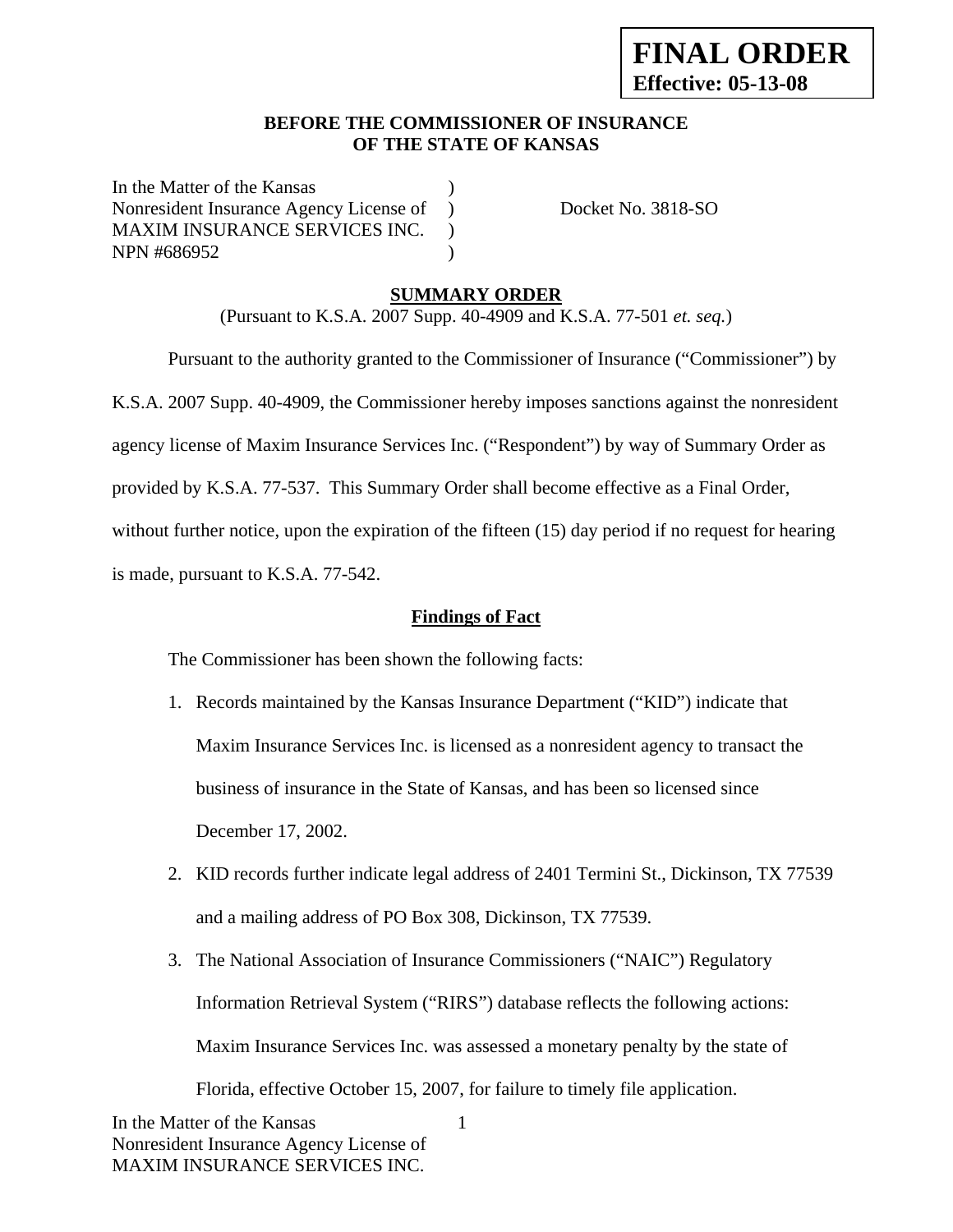### **BEFORE THE COMMISSIONER OF INSURANCE OF THE STATE OF KANSAS**

In the Matter of the Kansas Nonresident Insurance Agency License of ) Docket No. 3818-SO MAXIM INSURANCE SERVICES INC. ) NPN #686952 (1992)

## **SUMMARY ORDER**

(Pursuant to K.S.A. 2007 Supp. 40-4909 and K.S.A. 77-501 *et. seq.*)

 Pursuant to the authority granted to the Commissioner of Insurance ("Commissioner") by K.S.A. 2007 Supp. 40-4909, the Commissioner hereby imposes sanctions against the nonresident agency license of Maxim Insurance Services Inc. ("Respondent") by way of Summary Order as provided by K.S.A. 77-537. This Summary Order shall become effective as a Final Order, without further notice, upon the expiration of the fifteen (15) day period if no request for hearing is made, pursuant to K.S.A. 77-542.

## **Findings of Fact**

The Commissioner has been shown the following facts:

- 1. Records maintained by the Kansas Insurance Department ("KID") indicate that Maxim Insurance Services Inc. is licensed as a nonresident agency to transact the business of insurance in the State of Kansas, and has been so licensed since December 17, 2002.
- 2. KID records further indicate legal address of 2401 Termini St., Dickinson, TX 77539 and a mailing address of PO Box 308, Dickinson, TX 77539.
- 3. The National Association of Insurance Commissioners ("NAIC") Regulatory Information Retrieval System ("RIRS") database reflects the following actions: Maxim Insurance Services Inc. was assessed a monetary penalty by the state of Florida, effective October 15, 2007, for failure to timely file application.

1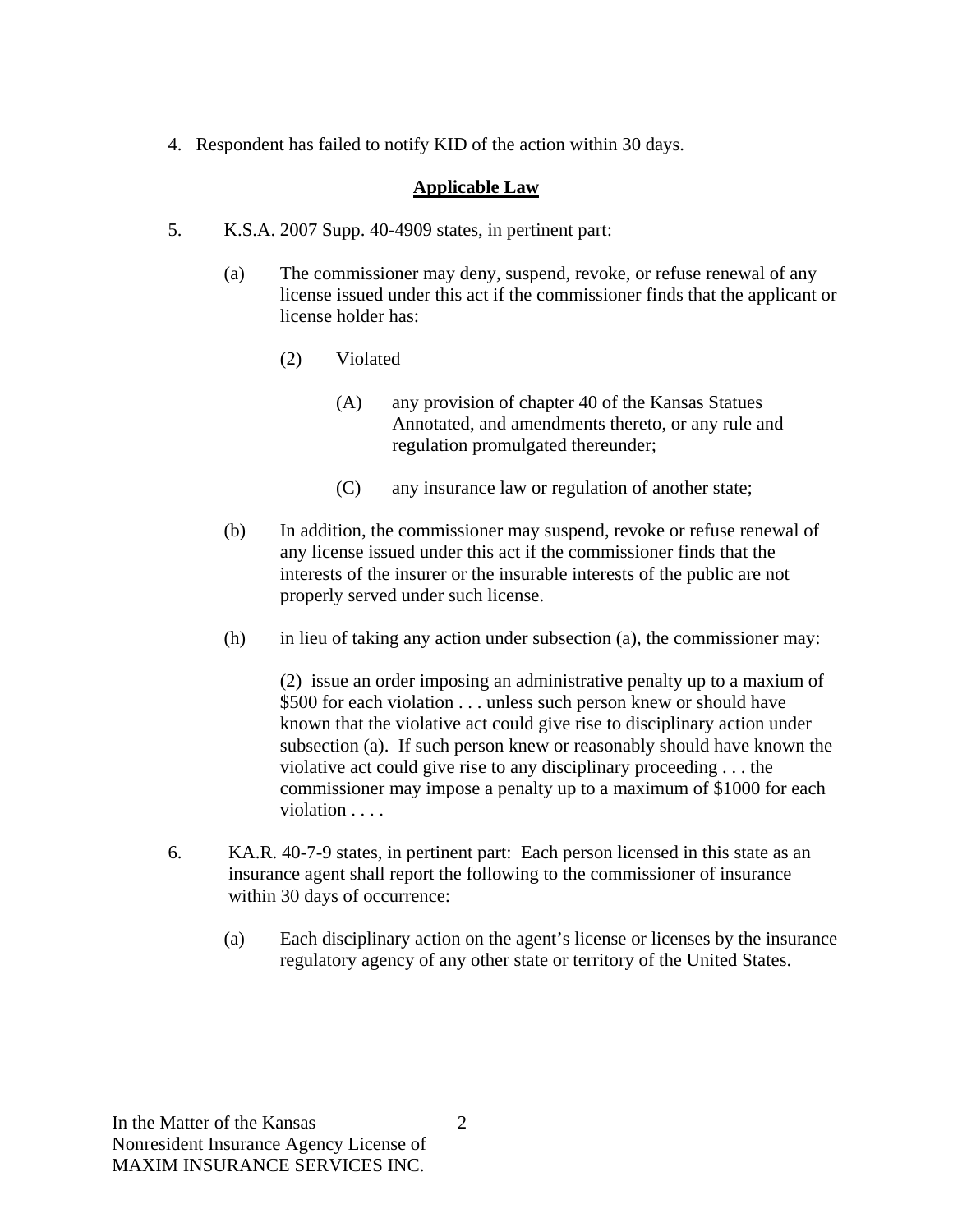4. Respondent has failed to notify KID of the action within 30 days.

# **Applicable Law**

- 5. K.S.A. 2007 Supp. 40-4909 states, in pertinent part:
	- (a) The commissioner may deny, suspend, revoke, or refuse renewal of any license issued under this act if the commissioner finds that the applicant or license holder has:
		- (2) Violated
			- (A) any provision of chapter 40 of the Kansas Statues Annotated, and amendments thereto, or any rule and regulation promulgated thereunder;
			- (C) any insurance law or regulation of another state;
	- (b) In addition, the commissioner may suspend, revoke or refuse renewal of any license issued under this act if the commissioner finds that the interests of the insurer or the insurable interests of the public are not properly served under such license.
	- (h) in lieu of taking any action under subsection (a), the commissioner may:

(2) issue an order imposing an administrative penalty up to a maxium of \$500 for each violation . . . unless such person knew or should have known that the violative act could give rise to disciplinary action under subsection (a). If such person knew or reasonably should have known the violative act could give rise to any disciplinary proceeding . . . the commissioner may impose a penalty up to a maximum of \$1000 for each violation . . . . .

- 6. KA.R. 40-7-9 states, in pertinent part: Each person licensed in this state as an insurance agent shall report the following to the commissioner of insurance within 30 days of occurrence:
	- (a) Each disciplinary action on the agent's license or licenses by the insurance regulatory agency of any other state or territory of the United States.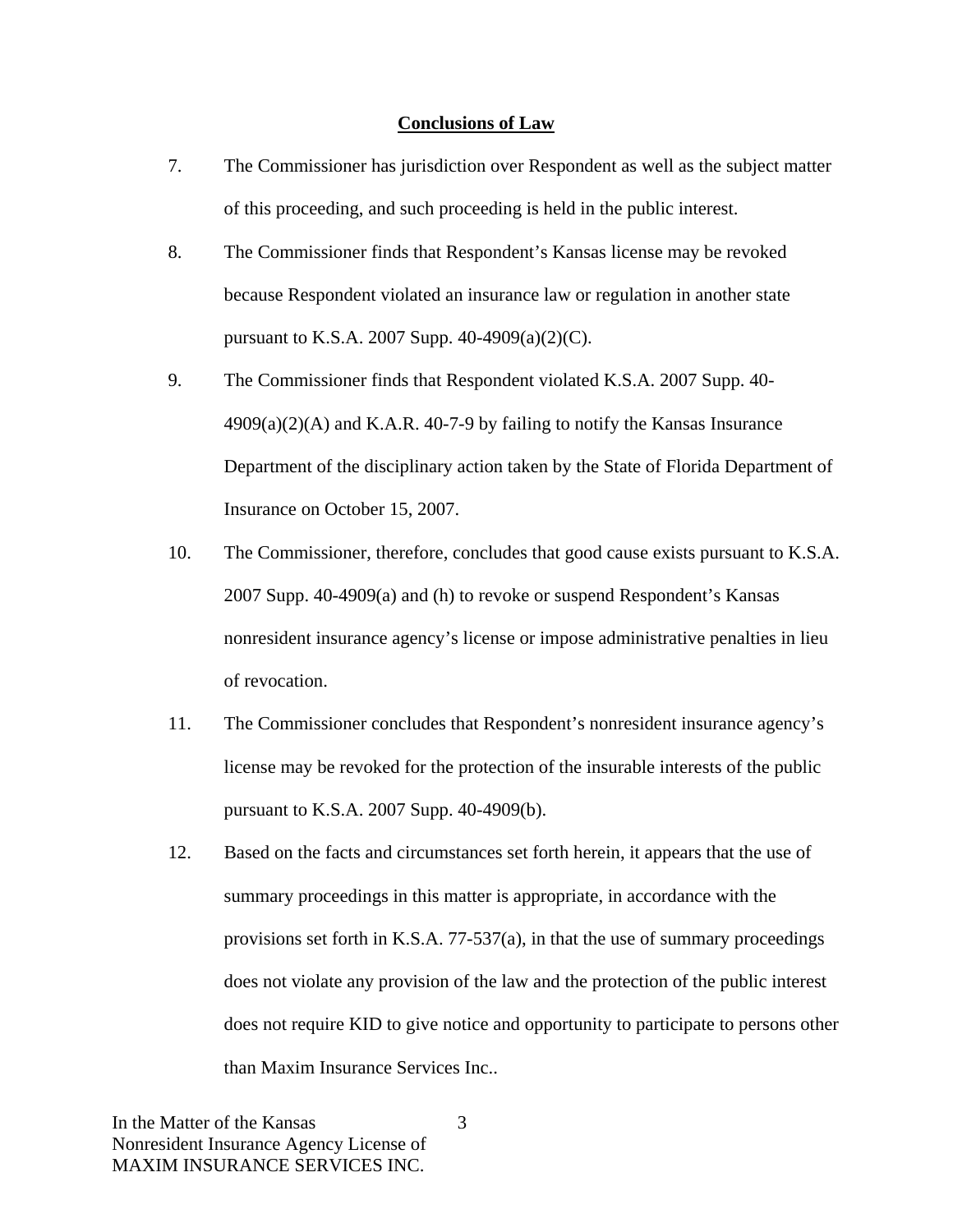#### **Conclusions of Law**

- 7. The Commissioner has jurisdiction over Respondent as well as the subject matter of this proceeding, and such proceeding is held in the public interest.
- 8. The Commissioner finds that Respondent's Kansas license may be revoked because Respondent violated an insurance law or regulation in another state pursuant to K.S.A. 2007 Supp. 40-4909(a)(2)(C).
- 9. The Commissioner finds that Respondent violated K.S.A. 2007 Supp. 40-  $4909(a)(2)(A)$  and K.A.R. 40-7-9 by failing to notify the Kansas Insurance Department of the disciplinary action taken by the State of Florida Department of Insurance on October 15, 2007.
- 10. The Commissioner, therefore, concludes that good cause exists pursuant to K.S.A. 2007 Supp. 40-4909(a) and (h) to revoke or suspend Respondent's Kansas nonresident insurance agency's license or impose administrative penalties in lieu of revocation.
- 11. The Commissioner concludes that Respondent's nonresident insurance agency's license may be revoked for the protection of the insurable interests of the public pursuant to K.S.A. 2007 Supp. 40-4909(b).
- 12. Based on the facts and circumstances set forth herein, it appears that the use of summary proceedings in this matter is appropriate, in accordance with the provisions set forth in K.S.A. 77-537(a), in that the use of summary proceedings does not violate any provision of the law and the protection of the public interest does not require KID to give notice and opportunity to participate to persons other than Maxim Insurance Services Inc..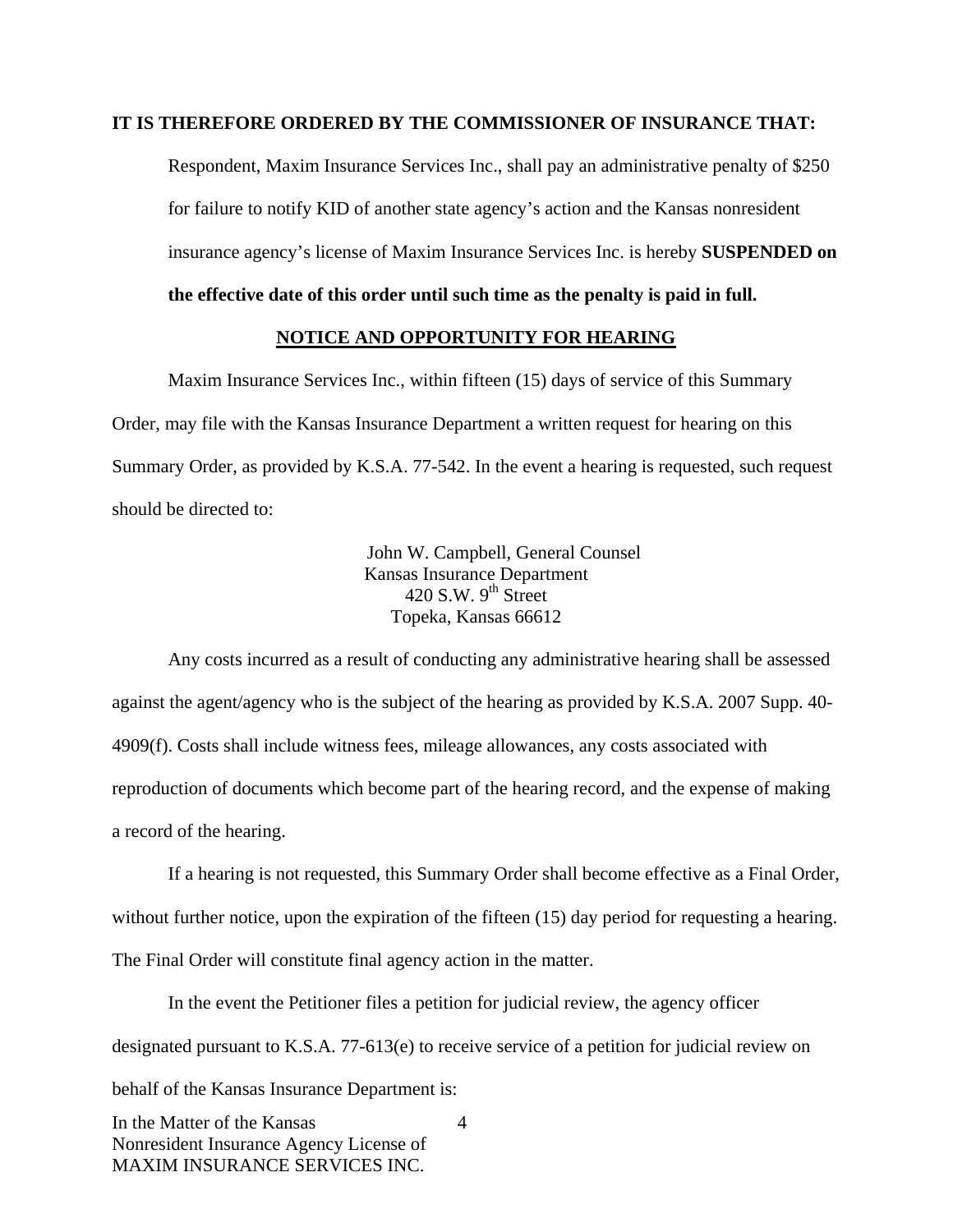#### **IT IS THEREFORE ORDERED BY THE COMMISSIONER OF INSURANCE THAT:**

Respondent, Maxim Insurance Services Inc., shall pay an administrative penalty of \$250 for failure to notify KID of another state agency's action and the Kansas nonresident insurance agency's license of Maxim Insurance Services Inc. is hereby **SUSPENDED on** 

**the effective date of this order until such time as the penalty is paid in full.** 

#### **NOTICE AND OPPORTUNITY FOR HEARING**

Maxim Insurance Services Inc., within fifteen (15) days of service of this Summary Order, may file with the Kansas Insurance Department a written request for hearing on this Summary Order, as provided by K.S.A. 77-542. In the event a hearing is requested, such request should be directed to:

> John W. Campbell, General Counsel Kansas Insurance Department 420 S.W.  $9^{th}$  Street Topeka, Kansas 66612

Any costs incurred as a result of conducting any administrative hearing shall be assessed against the agent/agency who is the subject of the hearing as provided by K.S.A. 2007 Supp. 40- 4909(f). Costs shall include witness fees, mileage allowances, any costs associated with reproduction of documents which become part of the hearing record, and the expense of making a record of the hearing.

If a hearing is not requested, this Summary Order shall become effective as a Final Order, without further notice, upon the expiration of the fifteen (15) day period for requesting a hearing. The Final Order will constitute final agency action in the matter.

In the event the Petitioner files a petition for judicial review, the agency officer designated pursuant to K.S.A. 77-613(e) to receive service of a petition for judicial review on behalf of the Kansas Insurance Department is: